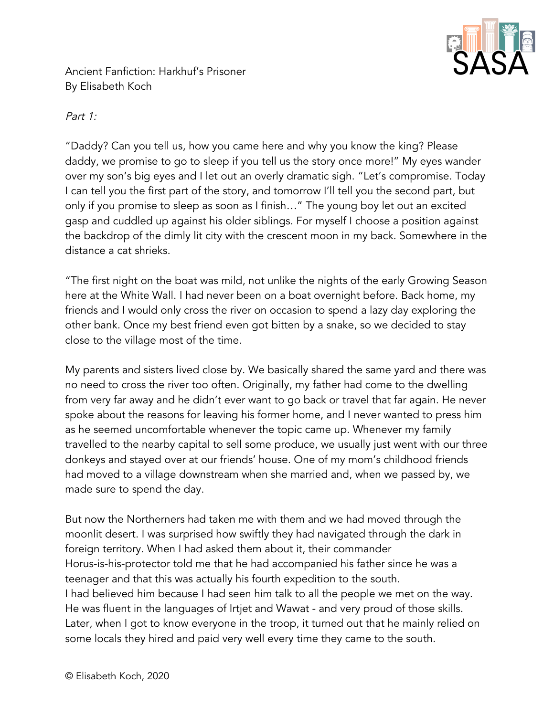

Ancient Fanfiction: Harkhuf's Prisoner By Elisabeth Koch

## Part 1:

"Daddy? Can you tell us, how you came here and why you know the king? Please daddy, we promise to go to sleep if you tell us the story once more!" My eyes wander over my son's big eyes and I let out an overly dramatic sigh. "Let's compromise. Today I can tell you the first part of the story, and tomorrow I'll tell you the second part, but only if you promise to sleep as soon as I finish…" The young boy let out an excited gasp and cuddled up against his older siblings. For myself I choose a position against the backdrop of the dimly lit city with the crescent moon in my back. Somewhere in the distance a cat shrieks.

"The first night on the boat was mild, not unlike the nights of the early Growing Season here at the White Wall. I had never been on a boat overnight before. Back home, my friends and I would only cross the river on occasion to spend a lazy day exploring the other bank. Once my best friend even got bitten by a snake, so we decided to stay close to the village most of the time.

My parents and sisters lived close by. We basically shared the same yard and there was no need to cross the river too often. Originally, my father had come to the dwelling from very far away and he didn't ever want to go back or travel that far again. He never spoke about the reasons for leaving his former home, and I never wanted to press him as he seemed uncomfortable whenever the topic came up. Whenever my family travelled to the nearby capital to sell some produce, we usually just went with our three donkeys and stayed over at our friends' house. One of my mom's childhood friends had moved to a village downstream when she married and, when we passed by, we made sure to spend the day.

But now the Northerners had taken me with them and we had moved through the moonlit desert. I was surprised how swiftly they had navigated through the dark in foreign territory. When I had asked them about it, their commander Horus-is-his-protector told me that he had accompanied his father since he was a teenager and that this was actually his fourth expedition to the south. I had believed him because I had seen him talk to all the people we met on the way. He was fluent in the languages of Irtjet and Wawat - and very proud of those skills. Later, when I got to know everyone in the troop, it turned out that he mainly relied on some locals they hired and paid very well every time they came to the south.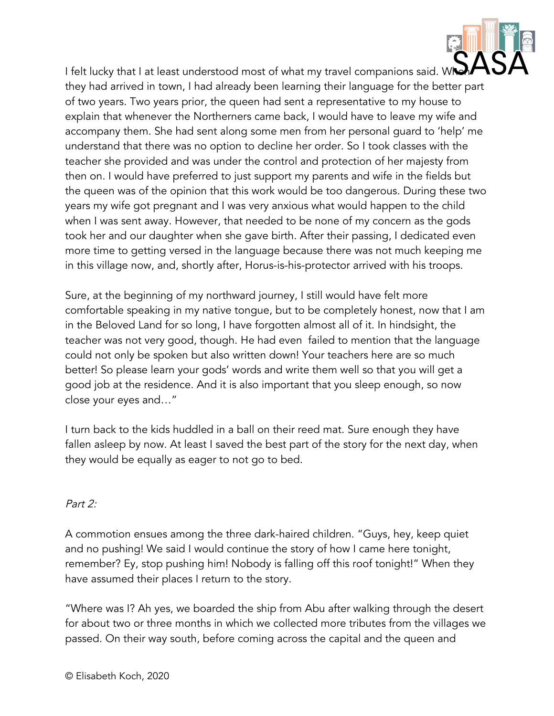I felt lucky that I at least understood most of what my travel companions said. W they had arrived in town, I had already been learning their language for the better part of two years. Two years prior, the queen had sent a representative to my house to explain that whenever the Northerners came back, I would have to leave my wife and accompany them. She had sent along some men from her personal guard to 'help' me understand that there was no option to decline her order. So I took classes with the teacher she provided and was under the control and protection of her majesty from then on. I would have preferred to just support my parents and wife in the fields but the queen was of the opinion that this work would be too dangerous. During these two years my wife got pregnant and I was very anxious what would happen to the child when I was sent away. However, that needed to be none of my concern as the gods took her and our daughter when she gave birth. After their passing, I dedicated even more time to getting versed in the language because there was not much keeping me in this village now, and, shortly after, Horus-is-his-protector arrived with his troops.

Sure, at the beginning of my northward journey, I still would have felt more comfortable speaking in my native tongue, but to be completely honest, now that I am in the Beloved Land for so long, I have forgotten almost all of it. In hindsight, the teacher was not very good, though. He had even failed to mention that the language could not only be spoken but also written down! Your teachers here are so much better! So please learn your gods' words and write them well so that you will get a good job at the residence. And it is also important that you sleep enough, so now close your eyes and…"

I turn back to the kids huddled in a ball on their reed mat. Sure enough they have fallen asleep by now. At least I saved the best part of the story for the next day, when they would be equally as eager to not go to bed.

## Part 2:

A commotion ensues among the three dark-haired children. "Guys, hey, keep quiet and no pushing! We said I would continue the story of how I came here tonight, remember? Ey, stop pushing him! Nobody is falling off this roof tonight!" When they have assumed their places I return to the story.

"Where was I? Ah yes, we boarded the ship from Abu after walking through the desert for about two or three months in which we collected more tributes from the villages we passed. On their way south, before coming across the capital and the queen and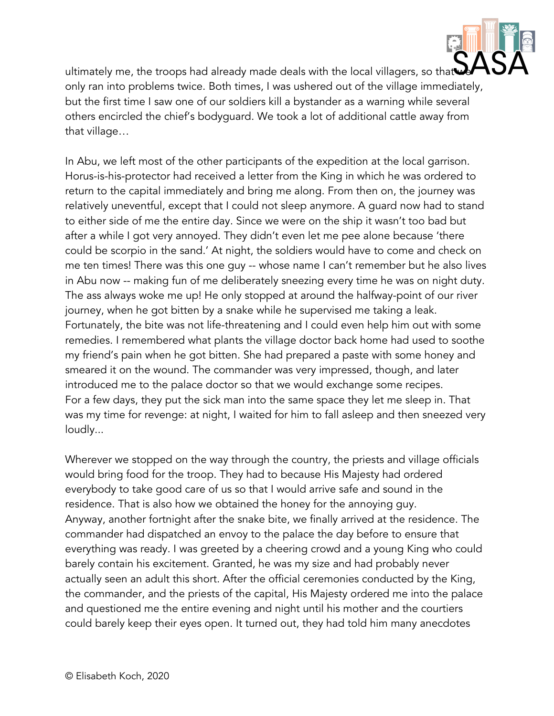

ultimately me, the troops had already made deals with the local villagers, so that only ran into problems twice. Both times, I was ushered out of the village immediately, but the first time I saw one of our soldiers kill a bystander as a warning while several others encircled the chief's bodyguard. We took a lot of additional cattle away from that village…

In Abu, we left most of the other participants of the expedition at the local garrison. Horus-is-his-protector had received a letter from the King in which he was ordered to return to the capital immediately and bring me along. From then on, the journey was relatively uneventful, except that I could not sleep anymore. A guard now had to stand to either side of me the entire day. Since we were on the ship it wasn't too bad but after a while I got very annoyed. They didn't even let me pee alone because 'there could be scorpio in the sand.' At night, the soldiers would have to come and check on me ten times! There was this one guy -- whose name I can't remember but he also lives in Abu now -- making fun of me deliberately sneezing every time he was on night duty. The ass always woke me up! He only stopped at around the halfway-point of our river journey, when he got bitten by a snake while he supervised me taking a leak. Fortunately, the bite was not life-threatening and I could even help him out with some remedies. I remembered what plants the village doctor back home had used to soothe my friend's pain when he got bitten. She had prepared a paste with some honey and smeared it on the wound. The commander was very impressed, though, and later introduced me to the palace doctor so that we would exchange some recipes. For a few days, they put the sick man into the same space they let me sleep in. That was my time for revenge: at night, I waited for him to fall asleep and then sneezed very loudly...

Wherever we stopped on the way through the country, the priests and village officials would bring food for the troop. They had to because His Majesty had ordered everybody to take good care of us so that I would arrive safe and sound in the residence. That is also how we obtained the honey for the annoying guy. Anyway, another fortnight after the snake bite, we finally arrived at the residence. The commander had dispatched an envoy to the palace the day before to ensure that everything was ready. I was greeted by a cheering crowd and a young King who could barely contain his excitement. Granted, he was my size and had probably never actually seen an adult this short. After the official ceremonies conducted by the King, the commander, and the priests of the capital, His Majesty ordered me into the palace and questioned me the entire evening and night until his mother and the courtiers could barely keep their eyes open. It turned out, they had told him many anecdotes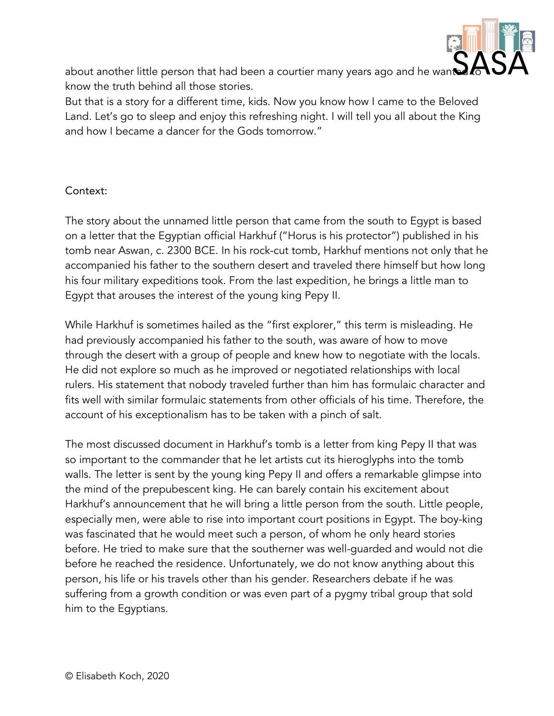

about another little person that had been a courtier many years ago and he want know the truth behind all those stories.

But that is a story for a different time, kids. Now you know how I came to the Beloved Land. Let's go to sleep and enjoy this refreshing night. I will tell you all about the King and how I became a dancer for the Gods tomorrow."

## Context:

The story about the unnamed little person that came from the south to Egypt is based on a letter that the Egyptian official Harkhuf ("Horus is his protector") published in his tomb near Aswan, c. 2300 BCE. In his rock-cut tomb, Harkhuf mentions not only that he accompanied his father to the southern desert and traveled there himself but how long his four military expeditions took. From the last expedition, he brings a little man to Egypt that arouses the interest of the young king Pepy II.

While Harkhuf is sometimes hailed as the "first explorer," this term is misleading. He had previously accompanied his father to the south, was aware of how to move through the desert with a group of people and knew how to negotiate with the locals. He did not explore so much as he improved or negotiated relationships with local rulers. His statement that nobody traveled further than him has formulaic character and fits well with similar formulaic statements from other officials of his time. Therefore, the account of his exceptionalism has to be taken with a pinch of salt.

The most discussed document in Harkhuf's tomb is a letter from king Pepy II that was so important to the commander that he let artists cut its hieroglyphs into the tomb walls. The letter is sent by the young king Pepy II and offers a remarkable glimpse into the mind of the prepubescent king. He can barely contain his excitement about Harkhuf's announcement that he will bring a little person from the south. Little people, especially men, were able to rise into important court positions in Egypt. The boy-king was fascinated that he would meet such a person, of whom he only heard stories before. He tried to make sure that the southerner was well-guarded and would not die before he reached the residence. Unfortunately, we do not know anything about this person, his life or his travels other than his gender. Researchers debate if he was suffering from a growth condition or was even part of a pygmy tribal group that sold him to the Egyptians.